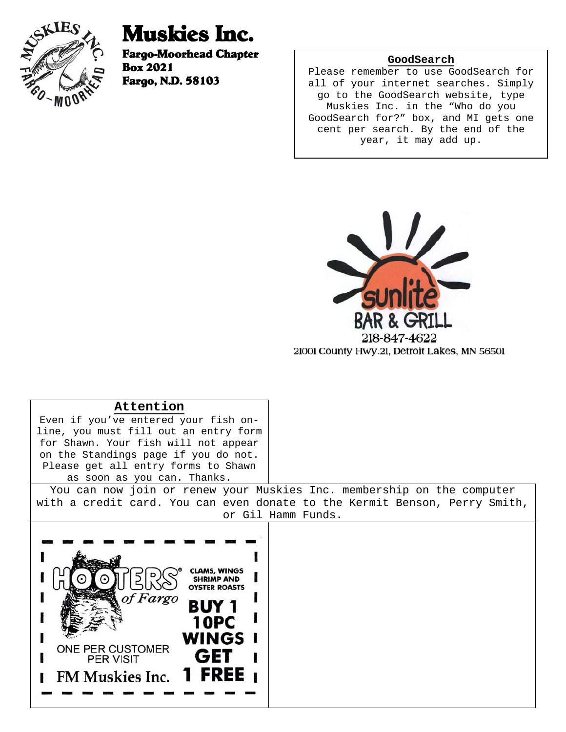

# Muskies Inc.

Fargo-Moorhead Chapter Box 2021 Fargo, N.D. 58103

# **GoodSearch**

Please remember to use GoodSearch for all of your internet searches. Simply go to the GoodSearch website, type Muskies Inc. in the "Who do you GoodSearch for?" box, and MI gets one cent per search. By the end of the year, it may add up.



| Attention                                                                                                                                                         |                                                                            |
|-------------------------------------------------------------------------------------------------------------------------------------------------------------------|----------------------------------------------------------------------------|
| Even if you've entered your fish on-                                                                                                                              |                                                                            |
| line, you must fill out an entry form                                                                                                                             |                                                                            |
| for Shawn. Your fish will not appear                                                                                                                              |                                                                            |
| on the Standings page if you do not.                                                                                                                              |                                                                            |
| Please get all entry forms to Shawn                                                                                                                               |                                                                            |
| as soon as you can. Thanks.                                                                                                                                       |                                                                            |
|                                                                                                                                                                   | You can now join or renew your Muskies Inc. membership on the computer     |
|                                                                                                                                                                   | with a credit card. You can even donate to the Kermit Benson, Perry Smith, |
|                                                                                                                                                                   | or Gil Hamm Funds.                                                         |
| CLAMS. WINGS<br><b>SHRIMP AND</b><br><b>OYSTER ROASTS</b><br>of Fargo<br>10PC<br>WINGS I<br>ONE PER CUSTOMER<br>GET<br><b>PER VISIT</b><br>FM Muskies Inc. 1 FREE |                                                                            |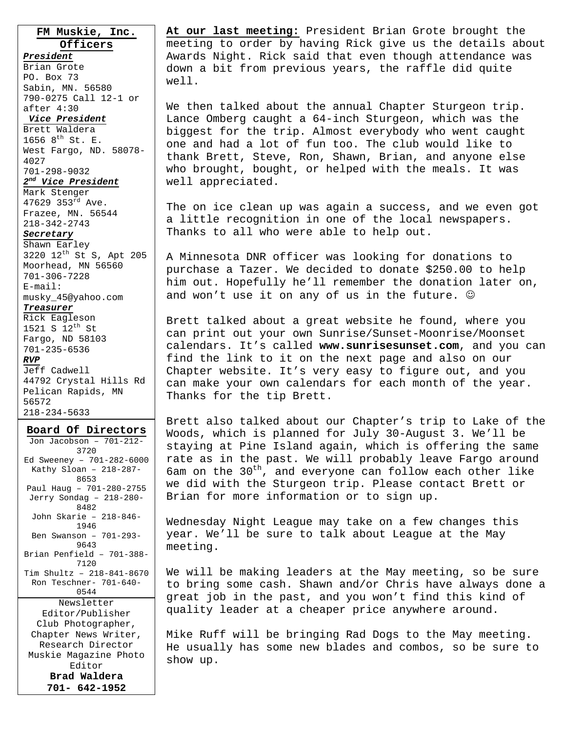**FM Muskie, Inc. Officers**

*President*

Brian Grote PO. Box 73 Sabin, MN. 56580 790-0275 Call 12-1 or after 4:30

#### *Vice President*

Brett Waldera 1656  $8^{th}$  St. E. West Fargo, ND. 58078- 4027 701-298-9032 *2nd Vice President*

#### Mark Stenger

47629 353rd Ave. Frazee, MN. 56544 218-342-2743

#### *Secretary*

Shawn Earley 3220 12th St S, Apt 205 Moorhead, MN 56560 701-306-7228 E-mail: musky\_45@yahoo.com

# *Treasurer*

Rick Eagleson 1521 S  $12^{th}$  St Fargo, ND 58103 701-235-6536 *RVP* Jeff Cadwell 44792 Crystal Hills Rd Pelican Rapids, MN 56572 218-234-5633

#### **Board Of Directors**

Jon Jacobson – 701-212- 3720 Ed Sweeney – 701-282-6000 Kathy Sloan – 218-287- 8653 Paul Haug – 701-280-2755 Jerry Sondag – 218-280- 8482 John Skarie – 218-846- 1946 Ben Swanson – 701-293- 9643 Brian Penfield – 701-388- 7120 Tim Shultz – 218-841-8670 Ron Teschner- 701-640- 0544 Newsletter Editor/Publisher Club Photographer, Chapter News Writer, Research Director Muskie Magazine Photo Editor **Brad Waldera 701- 642-1952** 

**At our last meeting:** President Brian Grote brought the meeting to order by having Rick give us the details about Awards Night. Rick said that even though attendance was down a bit from previous years, the raffle did quite well.

We then talked about the annual Chapter Sturgeon trip. Lance Omberg caught a 64-inch Sturgeon, which was the biggest for the trip. Almost everybody who went caught one and had a lot of fun too. The club would like to thank Brett, Steve, Ron, Shawn, Brian, and anyone else who brought, bought, or helped with the meals. It was well appreciated.

The on ice clean up was again a success, and we even got a little recognition in one of the local newspapers. Thanks to all who were able to help out.

A Minnesota DNR officer was looking for donations to purchase a Tazer. We decided to donate \$250.00 to help him out. Hopefully he'll remember the donation later on, and won't use it on any of us in the future.  $\mathcal{O}$ 

Brett talked about a great website he found, where you can print out your own Sunrise/Sunset-Moonrise/Moonset calendars. It's called **www.sunrisesunset.com**, and you can find the link to it on the next page and also on our Chapter website. It's very easy to figure out, and you can make your own calendars for each month of the year. Thanks for the tip Brett.

Brett also talked about our Chapter's trip to Lake of the Woods, which is planned for July 30-August 3. We'll be staying at Pine Island again, which is offering the same rate as in the past. We will probably leave Fargo around 6am on the  $30<sup>th</sup>$ , and everyone can follow each other like we did with the Sturgeon trip. Please contact Brett or Brian for more information or to sign up.

Wednesday Night League may take on a few changes this year. We'll be sure to talk about League at the May meeting.

We will be making leaders at the May meeting, so be sure to bring some cash. Shawn and/or Chris have always done a great job in the past, and you won't find this kind of quality leader at a cheaper price anywhere around.

Mike Ruff will be bringing Rad Dogs to the May meeting. He usually has some new blades and combos, so be sure to show up.